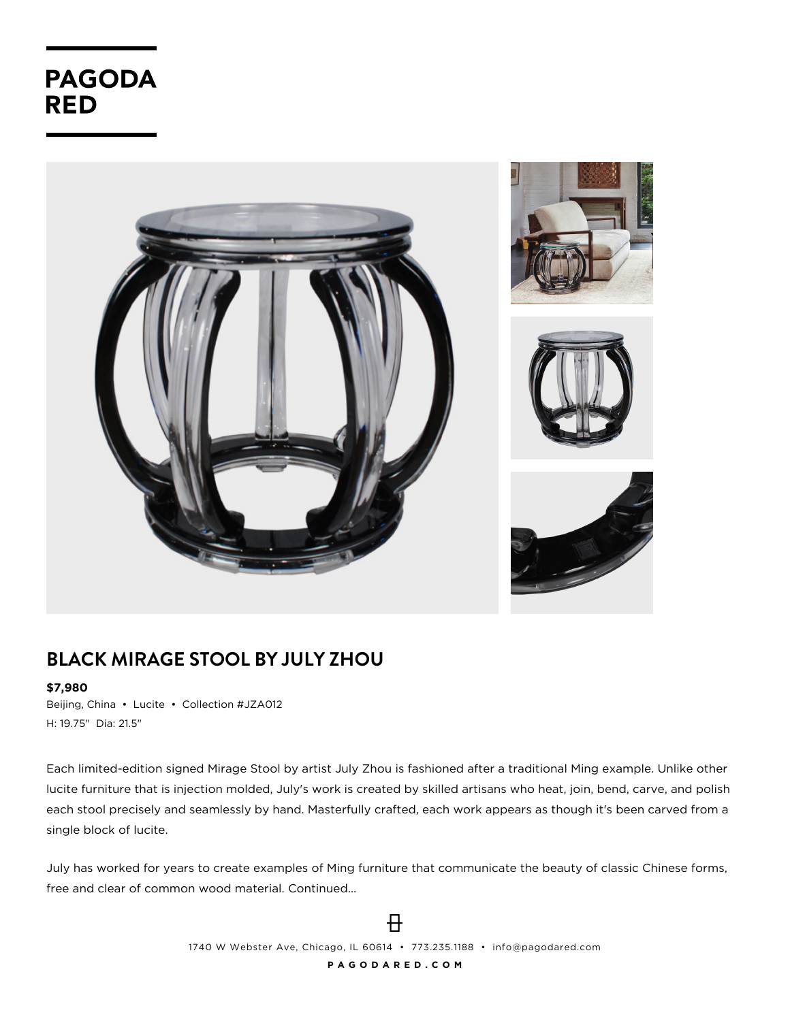**PAGODA RED** 



## **BLACK MIRAGE STOOL BY JULY ZHOU**

## **\$7,980**

Beijing, China • Lucite • Collection #JZA012 H: 19.75" Dia: 21.5"

Each limited-edition signed Mirage Stool by artist July Zhou is fashioned after a traditional Ming example. Unlike other lucite furniture that is injection molded, July's work is created by skilled artisans who heat, join, bend, carve, and polish each stool precisely and seamlessly by hand. Masterfully crafted, each work appears as though it's been carved from a single block of lucite.

July has worked for years to create examples of Ming furniture that communicate the beauty of classic Chinese forms, free and clear of common wood material. Continued...

> $\overline{H}$ 1740 W Webster Ave, Chicago, IL 60614 • 773.235.1188 • info@pagodared.com **P A G O D A R E D . C O M**